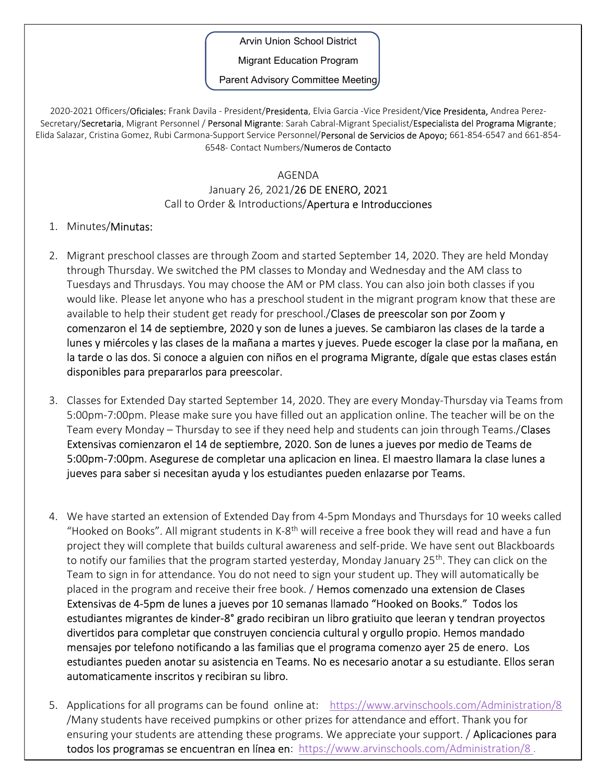Arvin Union School District

Migrant Education Program

Parent Advisory Committee Meeting

2020-2021 Officers/Oficiales: Frank Davila - President/Presidenta, Elvia Garcia -Vice President/Vice Presidenta, Andrea Perez-Secretary/Secretaria, Migrant Personnel / Personal Migrante: Sarah Cabral-Migrant Specialist/Especialista del Programa Migrante; Elida Salazar, Cristina Gomez, Rubi Carmona-Support Service Personnel/Personal de Servicios de Apoyo; 661-854-6547 and 661-854-6548- Contact Numbers/Numeros de Contacto

## AGENDA

## January 26, 2021/26 DE ENERO, 2021 Call to Order & Introductions/Apertura e Introducciones

## 1. Minutes/Minutas:

- 2. Migrant preschool classes are through Zoom and started September 14, 2020. They are held Monday through Thursday. We switched the PM classes to Monday and Wednesday and the AM class to Tuesdays and Thrusdays. You may choose the AM or PM class. You can also join both classes if you would like. Please let anyone who has a preschool student in the migrant program know that these are available to help their student get ready for preschool. **Clases de preescolar son por Zoom y** comenzaron el 14 de septiembre, 2020 y son de lunes a jueves. Se cambiaron las clases de la tarde a lunes y miércoles y las clases de la mañana a martes y jueves. Puede escoger la clase por la mañana, en la tarde o las dos. Si conoce a alguien con niños en el programa Migrante, dígale que estas clases están disponibles para prepararlos para preescolar.
- 3. Classes for Extended Day started September 14, 2020. They are every Monday-Thursday via Teams from 5:00pm-7:00pm. Please make sure you have filled out an application online. The teacher will be on the Team every Monday – Thursday to see if they need help and students can join through Teams./Clases Extensivas comienzaron el 14 de septiembre, 2020. Son de lunes a jueves por medio de Teams de 5:00pm-7:00pm. Asegurese de completar una aplicacion en linea. El maestro llamara la clase lunes a jueves para saber si necesitan ayuda y los estudiantes pueden enlazarse por Teams.
- 4. We have started an extension of Extended Day from 4-5pm Mondays and Thursdays for 10 weeks called "Hooked on Books". All migrant students in K-8<sup>th</sup> will receive a free book they will read and have a fun project they will complete that builds cultural awareness and self-pride. We have sent out Blackboards to notify our families that the program started yesterday, Monday January 25<sup>th</sup>. They can click on the Team to sign in for attendance. You do not need to sign your student up. They will automatically be placed in the program and receive their free book. / Hemos comenzado una extension de Clases Extensivas de 4-5pm de lunes a jueves por 10 semanas llamado "Hooked on Books." Todos los estudiantes migrantes de kinder-8° grado recibiran un libro gratiuito que leeran y tendran proyectos divertidos para completar que construyen conciencia cultural y orgullo propio. Hemos mandado mensajes por telefono notificando a las familias que el programa comenzo ayer 25 de enero. Los estudiantes pueden anotar su asistencia en Teams. No es necesario anotar a su estudiante. Ellos seran automaticamente inscritos y recibiran su libro.
- 5. Applications for all programs can be found online at: https://www.arvinschools.com/Administration/8 /Many students have received pumpkins or other prizes for attendance and effort. Thank you for ensuring your students are attending these programs. We appreciate your support. **Aplicaciones para** todos los programas se encuentran en línea en: https://www.arvinschools.com/Administration/8.